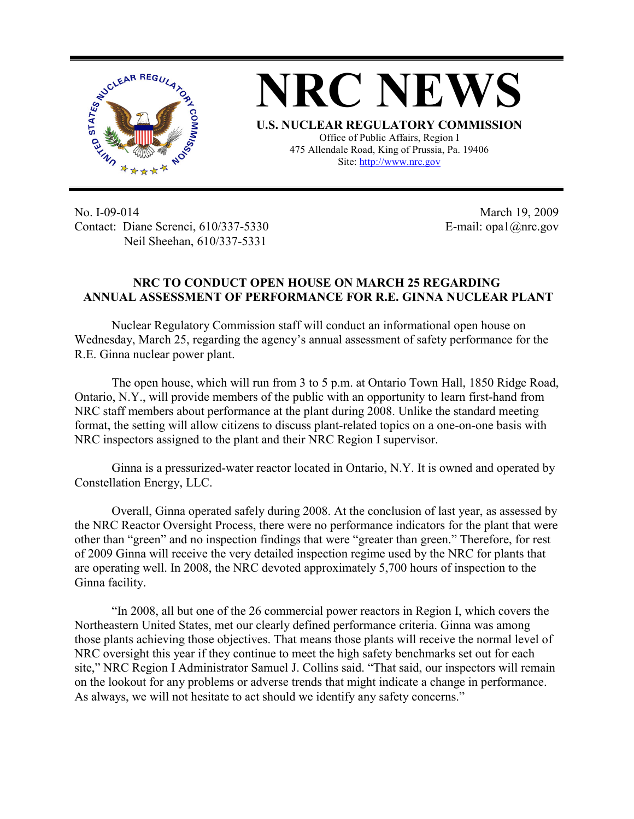

**NRC NEWS U.S. NUCLEAR REGULATORY COMMISSION** Office of Public Affairs, Region I 475 Allendale Road, King of Prussia, Pa. 19406

Site: http://www.nrc.gov

No. I-09-014 Contact: Diane Screnci, 610/337-5330 Neil Sheehan, 610/337-5331

March 19, 2009 E-mail: opa1@nrc.gov

## **NRC TO CONDUCT OPEN HOUSE ON MARCH 25 REGARDING ANNUAL ASSESSMENT OF PERFORMANCE FOR R.E. GINNA NUCLEAR PLANT**

Nuclear Regulatory Commission staff will conduct an informational open house on Wednesday, March 25, regarding the agency's annual assessment of safety performance for the R.E. Ginna nuclear power plant.

The open house, which will run from 3 to 5 p.m. at Ontario Town Hall, 1850 Ridge Road, Ontario, N.Y., will provide members of the public with an opportunity to learn first-hand from NRC staff members about performance at the plant during 2008. Unlike the standard meeting format, the setting will allow citizens to discuss plant-related topics on a one-on-one basis with NRC inspectors assigned to the plant and their NRC Region I supervisor.

Ginna is a pressurized-water reactor located in Ontario, N.Y. It is owned and operated by Constellation Energy, LLC.

Overall, Ginna operated safely during 2008. At the conclusion of last year, as assessed by the NRC Reactor Oversight Process, there were no performance indicators for the plant that were other than "green" and no inspection findings that were "greater than green." Therefore, for rest of 2009 Ginna will receive the very detailed inspection regime used by the NRC for plants that are operating well. In 2008, the NRC devoted approximately 5,700 hours of inspection to the Ginna facility.

"In 2008, all but one of the 26 commercial power reactors in Region I, which covers the Northeastern United States, met our clearly defined performance criteria. Ginna was among those plants achieving those objectives. That means those plants will receive the normal level of NRC oversight this year if they continue to meet the high safety benchmarks set out for each site," NRC Region I Administrator Samuel J. Collins said. "That said, our inspectors will remain on the lookout for any problems or adverse trends that might indicate a change in performance. As always, we will not hesitate to act should we identify any safety concerns."